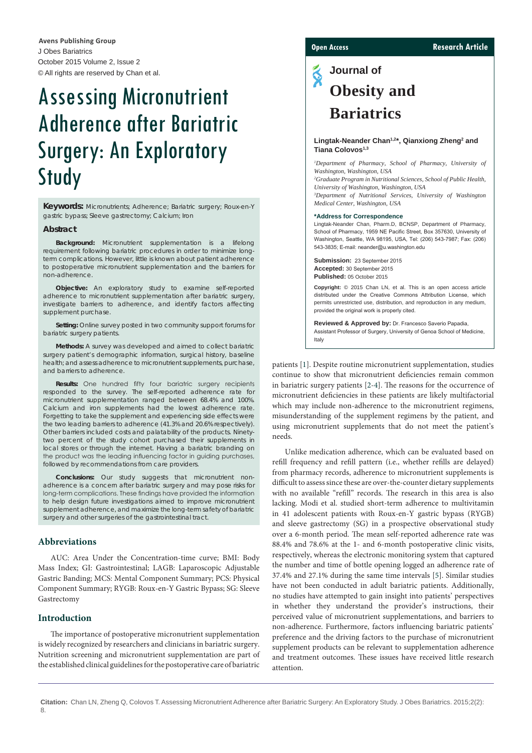J Obes Bariatrics October 2015 Volume 2, Issue 2 © All rights are reserved by Chan et al. **Avens Publishing Group**

# Assessing Micronutrient Adherence after Bariatric Surgery: An Exploratory Study

**Keywords:** Micronutrients; Adherence; Bariatric surgery; Roux-en-Y gastric bypass; Sleeve gastrectomy; Calcium; Iron

#### **Abstract**

**Background:** Micronutrient supplementation is a lifelong requirement following bariatric procedures in order to minimize longterm complications. However, little is known about patient adherence to postoperative micronutrient supplementation and the barriers for non-adherence.

**Objective:** An exploratory study to examine self-reported adherence to micronutrient supplementation after bariatric surgery, investigate barriers to adherence, and identify factors affecting supplement purchase.

**Setting:** Online survey posted in two community support forums for bariatric surgery patients.

**Methods:** A survey was developed and aimed to collect bariatric surgery patient's demographic information, surgical history, baseline health; and assess adherence to micronutrient supplements, purchase, and barriers to adherence.

**Results:** One hundred fifty four bariatric surgery recipients responded to the survey. The self-reported adherence rate for micronutrient supplementation ranged between 68.4% and 100%. Calcium and iron supplements had the lowest adherence rate. Forgetting to take the supplement and experiencing side effects were the two leading barriers to adherence (41.3% and 20.6% respectively). Other barriers included costs and palatability of the products. Ninetytwo percent of the study cohort purchased their supplements in local stores or through the internet. Having a bariatric branding on the product was the leading influencing factor in guiding purchases, followed by recommendations from care providers.

**Conclusions:** Our study suggests that micronutrient nonadherence is a concern after bariatric surgery and may pose risks for long-term complications. These findings have provided the information to help design future investigations aimed to improve micronutrient supplement adherence, and maximize the long-term safety of bariatric surgery and other surgeries of the gastrointestinal tract.

#### **Abbreviations**

AUC: Area Under the Concentration-time curve; BMI: Body Mass Index; GI: Gastrointestinal; LAGB: Laparoscopic Adjustable Gastric Banding; MCS: Mental Component Summary; PCS: Physical Component Summary; RYGB: Roux-en-Y Gastric Bypass; SG: Sleeve Gastrectomy

#### **Introduction**

The importance of postoperative micronutrient supplementation is widely recognized by researchers and clinicians in bariatric surgery. Nutrition screening and micronutrient supplementation are part of the established clinical guidelines for the postoperative care of bariatric

### **Open Access Research Article**

## $\tilde{\textbf{S}}$ **Journal of Obesity and Bariatrics**

#### Lingtak-Neander Chan<sup>1,2\*</sup>, Qianxiong Zheng<sup>2</sup> and **Tiana Colovos1,3**

*1 Department of Pharmacy, School of Pharmacy, University of Washington, Washington, USA 2 Graduate Program in Nutritional Sciences, School of Public Health, University of Washington, Washington, USA 3 Department of Nutritional Services, University of Washington Medical Center, Washington, USA*

#### **\*Address for Correspondence**

Lingtak-Neander Chan, Pharm.D, BCNSP, Department of Pharmacy, School of Pharmacy, 1959 NE Pacific Street, Box 357630, University of Washington, Seattle, WA 98195, USA, Tel: (206) 543-7987; Fax: (206) 543-3835; E-mail: neander@u.washington.edu

**Submission:** 23 September 2015 **Accepted:** 30 September 2015 **Published:** 05 October 2015

**Copyright:** © 2015 Chan LN, et al. This is an open access article distributed under the Creative Commons Attribution License, which permits unrestricted use, distribution, and reproduction in any medium, provided the original work is properly cited.

**Reviewed & Approved by:** Dr. Francesco Saverio Papadia, Assistant Professor of Surgery, University of Genoa School of Medicine, Italy

patients [[1\]](#page-6-0). Despite routine micronutrient supplementation, studies continue to show that micronutrient deficiencies remain common in bariatric surgery patients [\[2](#page-6-1)-[4\]](#page-6-2). The reasons for the occurrence of micronutrient deficiencies in these patients are likely multifactorial which may include non-adherence to the micronutrient regimens, misunderstanding of the supplement regimens by the patient, and using micronutrient supplements that do not meet the patient's needs.

Unlike medication adherence, which can be evaluated based on refill frequency and refill pattern (i.e., whether refills are delayed) from pharmacy records, adherence to micronutrient supplements is difficult to assess since these are over-the-counter dietary supplements with no available "refill" records. The research in this area is also lacking. Modi et al. studied short-term adherence to multivitamin in 41 adolescent patients with Roux-en-Y gastric bypass (RYGB) and sleeve gastrectomy (SG) in a prospective observational study over a 6-month period. The mean self-reported adherence rate was 88.4% and 78.6% at the 1- and 6-month postoperative clinic visits, respectively, whereas the electronic monitoring system that captured the number and time of bottle opening logged an adherence rate of 37.4% and 27.1% during the same time intervals [\[5](#page-6-3)]. Similar studies have not been conducted in adult bariatric patients. Additionally, no studies have attempted to gain insight into patients' perspectives in whether they understand the provider's instructions, their perceived value of micronutrient supplementations, and barriers to non-adherence. Furthermore, factors influencing bariatric patients' preference and the driving factors to the purchase of micronutrient supplement products can be relevant to supplementation adherence and treatment outcomes. These issues have received little research attention.

**Citation:** Chan LN, Zheng Q, Colovos T. Assessing Micronutrient Adherence after Bariatric Surgery: An Exploratory Study. J Obes Bariatrics. 2015;2(2): 8.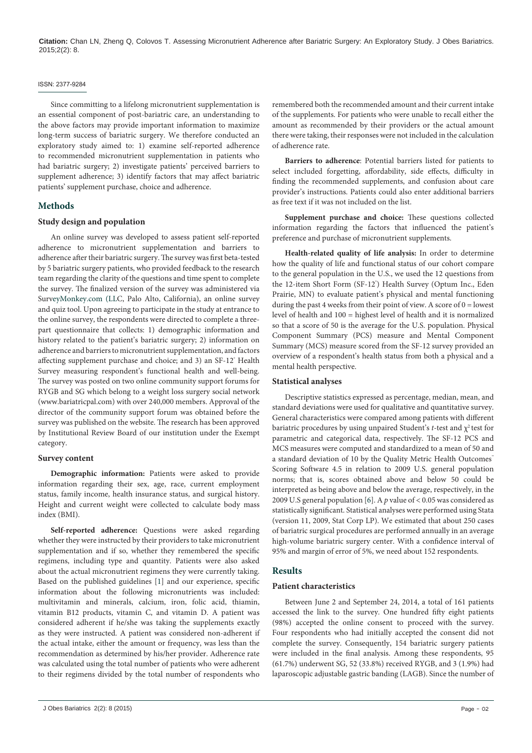#### ISSN: 2377-9284

Since committing to a lifelong micronutrient supplementation is an essential component of post-bariatric care, an understanding to the above factors may provide important information to maximize long-term success of bariatric surgery. We therefore conducted an exploratory study aimed to: 1) examine self-reported adherence to recommended micronutrient supplementation in patients who had bariatric surgery; 2) investigate patients' perceived barriers to supplement adherence; 3) identify factors that may affect bariatric patients' supplement purchase, choice and adherence.

### **Methods**

#### **Study design and population**

An online survey was developed to assess patient self-reported adherence to micronutrient supplementation and barriers to adherence after their bariatric surgery. The survey was first beta-tested by 5 bariatric surgery patients, who provided feedback to the research team regarding the clarity of the questions and time spent to complete the survey. The finalized version of the survey was administered via Sur[veyMonkey.com \(LL](https://www.surveymonkey.com)C, Palo Alto, California), an online survey and quiz tool. Upon agreeing to participate in the study at entrance to the online survey, the respondents were directed to complete a threepart questionnaire that collects: 1) demographic information and history related to the patient's bariatric surgery; 2) information on adherence and barriers to micronutrient supplementation, and factors affecting supplement purchase and choice; and 3) an SF-12° Health Survey measuring respondent's functional health and well-being. The survey was posted on two online community support forums for RYGB and SG which belong to a weight loss surgery social network (www.bariatricpal.com) with over 240,000 members. Approval of the director of the community support forum was obtained before the survey was published on the website. The research has been approved by Institutional Review Board of our institution under the Exempt category.

#### **Survey content**

**Demographic information:** Patients were asked to provide information regarding their sex, age, race, current employment status, family income, health insurance status, and surgical history. Height and current weight were collected to calculate body mass index (BMI).

**Self-reported adherence:** Questions were asked regarding whether they were instructed by their providers to take micronutrient supplementation and if so, whether they remembered the specific regimens, including type and quantity. Patients were also asked about the actual micronutrient regimens they were currently taking. Based on the published guidelines [\[1\]](#page-6-0) and our experience, specific information about the following micronutrients was included: multivitamin and minerals, calcium, iron, folic acid, thiamin, vitamin B12 products, vitamin C, and vitamin D. A patient was considered adherent if he/she was taking the supplements exactly as they were instructed. A patient was considered non-adherent if the actual intake, either the amount or frequency, was less than the recommendation as determined by his/her provider. Adherence rate was calculated using the total number of patients who were adherent to their regimens divided by the total number of respondents who

remembered both the recommended amount and their current intake of the supplements. For patients who were unable to recall either the amount as recommended by their providers or the actual amount there were taking, their responses were not included in the calculation of adherence rate.

**Barriers to adherence**: Potential barriers listed for patients to select included forgetting, affordability, side effects, difficulty in finding the recommended supplements, and confusion about care provider's instructions. Patients could also enter additional barriers as free text if it was not included on the list.

**Supplement purchase and choice:** These questions collected information regarding the factors that influenced the patient's preference and purchase of micronutrient supplements.

**Health-related quality of life analysis:** In order to determine how the quality of life and functional status of our cohort compare to the general population in the U.S., we used the 12 questions from the 12-item Short Form (SF-12<sup>°</sup>) Health Survey (Optum Inc., Eden Prairie, MN) to evaluate patient's physical and mental functioning during the past 4 weeks from their point of view. A score of  $0 =$  lowest level of health and 100 = highest level of health and it is normalized so that a score of 50 is the average for the U.S. population. Physical Component Summary (PCS) measure and Mental Component Summary (MCS) measure scored from the SF-12 survey provided an overview of a respondent's health status from both a physical and a mental health perspective.

#### **Statistical analyses**

Descriptive statistics expressed as percentage, median, mean, and standard deviations were used for qualitative and quantitative survey. General characteristics were compared among patients with different bariatric procedures by using unpaired Student's  $t$ -test and  $\chi^2$  test for parametric and categorical data, respectively. The SF-12 PCS and MCS measures were computed and standardized to a mean of 50 and a standard deviation of 10 by the Quality Metric Health Outcomes™ Scoring Software 4.5 in relation to 2009 U.S. general population norms; that is, scores obtained above and below 50 could be interpreted as being above and below the average, respectively, in the 2009 U.S general population [[6](#page-6-4)]. A *p* value of < 0.05 was considered as statistically significant. Statistical analyses were performed using Stata (version 11, 2009, Stat Corp LP). We estimated that about 250 cases of bariatric surgical procedures are performed annually in an average high-volume bariatric surgery center. With a confidence interval of 95% and margin of error of 5%, we need about 152 respondents.

#### **Results**

#### **Patient characteristics**

Between June 2 and September 24, 2014, a total of 161 patients accessed the link to the survey. One hundred fifty eight patients (98%) accepted the online consent to proceed with the survey. Four respondents who had initially accepted the consent did not complete the survey. Consequently, 154 bariatric surgery patients were included in the final analysis. Among these respondents, 95 (61.7%) underwent SG, 52 (33.8%) received RYGB, and 3 (1.9%) had laparoscopic adjustable gastric banding (LAGB). Since the number of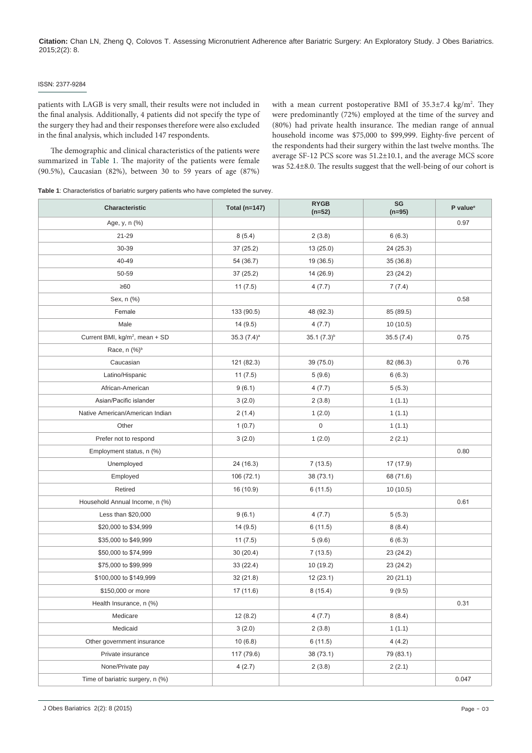#### ISSN: 2377-9284

patients with LAGB is very small, their results were not included in the final analysis. Additionally, 4 patients did not specify the type of the surgery they had and their responses therefore were also excluded in the final analysis, which included 147 respondents.

The demographic and clinical characteristics of the patients were summarized in [Table 1](#page-2-0). The majority of the patients were female (90.5%), Caucasian (82%), between 30 to 59 years of age (87%)

with a mean current postoperative BMI of  $35.3 \pm 7.4$  kg/m<sup>2</sup>. They were predominantly (72%) employed at the time of the survey and (80%) had private health insurance. The median range of annual household income was \$75,000 to \$99,999. Eighty-five percent of the respondents had their surgery within the last twelve months. The average SF-12 PCS score was 51.2±10.1, and the average MCS score was 52.4±8.0. The results suggest that the well-being of our cohort is

<span id="page-2-0"></span>**Table 1**: Characteristics of bariatric surgery patients who have completed the survey.

| Characteristic                             | Total (n=147)            | <b>RYGB</b><br>$(n=52)$ | SG<br>$(n=95)$ | P value <sup>e</sup> |
|--------------------------------------------|--------------------------|-------------------------|----------------|----------------------|
| Age, y, n (%)                              |                          |                         |                | 0.97                 |
| 21-29                                      | 8(5.4)                   | 2(3.8)                  | 6(6.3)         |                      |
| 30-39                                      | 37 (25.2)                | 13(25.0)                | 24 (25.3)      |                      |
| 40-49                                      | 54 (36.7)                | 19 (36.5)               | 35(36.8)       |                      |
| 50-59                                      | 37 (25.2)                | 14 (26.9)               | 23 (24.2)      |                      |
| $\geq 60$                                  | 11(7.5)                  | 4(7.7)                  | 7(7.4)         |                      |
| Sex, n (%)                                 |                          |                         |                | 0.58                 |
| Female                                     | 133 (90.5)               | 48 (92.3)               | 85 (89.5)      |                      |
| Male                                       | 14(9.5)                  | 4(7.7)                  | 10(10.5)       |                      |
| Current BMI, kg/m <sup>2</sup> , mean + SD | $35.3(7.4)$ <sup>a</sup> | $35.1(7.3)^{b}$         | 35.5(7.4)      | 0.75                 |
| Race, n (%) <sup>b</sup>                   |                          |                         |                |                      |
| Caucasian                                  | 121 (82.3)               | 39 (75.0)               | 82 (86.3)      | 0.76                 |
| Latino/Hispanic                            | 11(7.5)                  | 5(9.6)                  | 6(6.3)         |                      |
| African-American                           | 9(6.1)                   | 4(7.7)                  | 5(5.3)         |                      |
| Asian/Pacific islander                     | 3(2.0)                   | 2(3.8)                  | 1(1.1)         |                      |
| Native American/American Indian            | 2(1.4)                   | 1(2.0)                  | 1(1.1)         |                      |
| Other                                      | 1(0.7)                   | $\,0\,$                 | 1(1.1)         |                      |
| Prefer not to respond                      | 3(2.0)                   | 1(2.0)                  | 2(2.1)         |                      |
| Employment status, n (%)                   |                          |                         |                | 0.80                 |
| Unemployed                                 | 24 (16.3)                | 7(13.5)                 | 17 (17.9)      |                      |
| Employed                                   | 106 (72.1)               | 38 (73.1)               | 68 (71.6)      |                      |
| Retired                                    | 16 (10.9)                | 6(11.5)                 | 10(10.5)       |                      |
| Household Annual Income, n (%)             |                          |                         |                | 0.61                 |
| Less than \$20,000                         | 9(6.1)                   | 4(7.7)                  | 5(5.3)         |                      |
| \$20,000 to \$34,999                       | 14(9.5)                  | 6(11.5)                 | 8(8.4)         |                      |
| \$35,000 to \$49,999                       | 11(7.5)                  | 5(9.6)                  | 6(6.3)         |                      |
| \$50,000 to \$74,999                       | 30(20.4)                 | 7(13.5)                 | 23 (24.2)      |                      |
| \$75,000 to \$99,999                       | 33 (22.4)                | 10(19.2)                | 23 (24.2)      |                      |
| \$100,000 to \$149,999                     | 32(21.8)                 | 12(23.1)                | 20(21.1)       |                      |
| \$150,000 or more                          | 17 (11.6)                | 8(15.4)                 | 9(9.5)         |                      |
| Health Insurance, n (%)                    |                          |                         |                | 0.31                 |
| Medicare                                   | 12(8.2)                  | 4(7.7)                  | 8(8.4)         |                      |
| Medicaid                                   | 3(2.0)                   | 2(3.8)                  | 1(1.1)         |                      |
| Other government insurance                 | 10(6.8)                  | 6(11.5)                 | 4(4.2)         |                      |
| Private insurance                          | 117 (79.6)               | 38 (73.1)               | 79 (83.1)      |                      |
| None/Private pay                           | 4(2.7)                   | 2(3.8)                  | 2(2.1)         |                      |
| Time of bariatric surgery, n (%)           |                          |                         |                | 0.047                |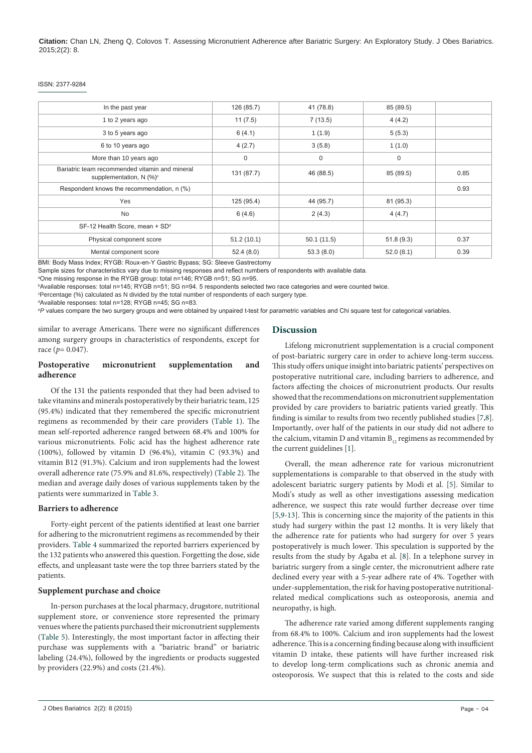#### ISSN: 2377-9284

| 41 (78.8)<br>85 (89.5)          |
|---------------------------------|
| 4(4.2)                          |
| 5(5.3)                          |
| 1(1.0)                          |
| 0                               |
| 46 (88.5)<br>0.85<br>85 (89.5)  |
| 0.93                            |
| 44 (95.7)<br>81 (95.3)          |
| 4(4.7)                          |
|                                 |
| 0.37<br>50.1(11.5)<br>51.8(9.3) |
| 53.3(8.0)<br>0.39<br>52.0(8.1)  |
|                                 |

BMI: Body Mass Index; RYGB: Roux-en-Y Gastric Bypass; SG: Sleeve Gastrectomy

Sample sizes for characteristics vary due to missing responses and reflect numbers of respondents with available data.

a One missing response in the RYGB group: total n=146; RYGB n=51; SG n=95.

b Available responses: total n=145; RYGB n=51; SG n=94. 5 respondents selected two race categories and were counted twice.

°Percentage (%) calculated as N divided by the total number of respondents of each surgery type.<br>ºAvailable responses: total n=128: RYGB n=45: SG n=83.

Available responses: total n=128; RYGB n=45; SG n=83.

e *P* values compare the two surgery groups and were obtained by unpaired t-test for parametric variables and Chi square test for categorical variables.

similar to average Americans. There were no significant differences among surgery groups in characteristics of respondents, except for race  $(p = 0.047)$ .

#### **Postoperative micronutrient supplementation and adherence**

Of the 131 the patients responded that they had been advised to take vitamins and minerals postoperatively by their bariatric team, 125 (95.4%) indicated that they remembered the specific micronutrient regimens as recommended by their care providers ([Table 1](#page-2-0)). The mean self-reported adherence ranged between 68.4% and 100% for various micronutrients. Folic acid has the highest adherence rate (100%), followed by vitamin D (96.4%), vitamin C (93.3%) and vitamin B12 (91.3%). Calcium and iron supplements had the lowest overall adherence rate (75.9% and 81.6%, respectively) [\(Table 2\)](#page-4-0). The median and average daily doses of various supplements taken by the patients were summarized in [Table 3](#page-4-1).

#### **Barriers to adherence**

Forty-eight percent of the patients identified at least one barrier for adhering to the micronutrient regimens as recommended by their providers. [Table 4](#page-4-2) summarized the reported barriers experienced by the 132 patients who answered this question. Forgetting the dose, side effects, and unpleasant taste were the top three barriers stated by the patients.

#### **Supplement purchase and choice**

In-person purchases at the local pharmacy, drugstore, nutritional supplement store, or convenience store represented the primary venues where the patients purchased their micronutrient supplements ([Table 5\)](#page-5-0). Interestingly, the most important factor in affecting their purchase was supplements with a "bariatric brand" or bariatric labeling (24.4%), followed by the ingredients or products suggested by providers (22.9%) and costs (21.4%).

#### **Discussion**

Lifelong micronutrient supplementation is a crucial component of post-bariatric surgery care in order to achieve long-term success. This study offers unique insight into bariatric patients' perspectives on postoperative nutritional care, including barriers to adherence, and factors affecting the choices of micronutrient products. Our results showed that the recommendations on micronutrient supplementation provided by care providers to bariatric patients varied greatly. This finding is similar to results from two recently published studies [[7](#page-6-5)[,8\]](#page-6-6). Importantly, over half of the patients in our study did not adhere to the calcium, vitamin  $D$  and vitamin  $B_{12}$  regimens as recommended by the current guidelines [[1](#page-6-0)].

Overall, the mean adherence rate for various micronutrient supplementations is comparable to that observed in the study with adolescent bariatric surgery patients by Modi et al. [[5](#page-6-3)]. Similar to Modi's study as well as other investigations assessing medication adherence, we suspect this rate would further decrease over time [[5](#page-6-3)[,9-](#page-6-7)[13](#page-6-8)]. This is concerning since the majority of the patients in this study had surgery within the past 12 months. It is very likely that the adherence rate for patients who had surgery for over 5 years postoperatively is much lower. This speculation is supported by the results from the study by Agaba et al. [\[8\]](#page-6-6). In a telephone survey in bariatric surgery from a single center, the micronutrient adhere rate declined every year with a 5-year adhere rate of 4%. Together with under-supplementation, the risk for having postoperative nutritionalrelated medical complications such as osteoporosis, anemia and neuropathy, is high.

The adherence rate varied among different supplements ranging from 68.4% to 100%. Calcium and iron supplements had the lowest adherence. This is a concerning finding because along with insufficient vitamin D intake, these patients will have further increased risk to develop long-term complications such as chronic anemia and osteoporosis. We suspect that this is related to the costs and side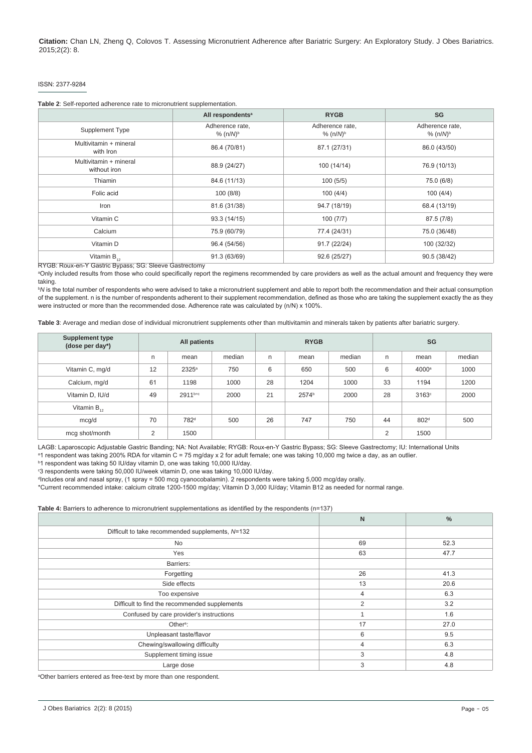#### ISSN: 2377-9284

<span id="page-4-0"></span>

| Table 2: Self-reported adherence rate to micronutrient supplementation. |  |
|-------------------------------------------------------------------------|--|
|-------------------------------------------------------------------------|--|

|                                        | All respondents <sup>a</sup>              | <b>RYGB</b>                               | SG                             |
|----------------------------------------|-------------------------------------------|-------------------------------------------|--------------------------------|
| Supplement Type                        | Adherence rate,<br>$% (n/M)$ <sup>b</sup> | Adherence rate,<br>% $(n/M)$ <sup>b</sup> | Adherence rate,<br>% $(n/M)^b$ |
| Multivitamin + mineral<br>with Iron    | 86.4 (70/81)                              | 87.1 (27/31)                              | 86.0 (43/50)                   |
| Multivitamin + mineral<br>without iron | 88.9 (24/27)                              | 100 (14/14)                               | 76.9 (10/13)                   |
| Thiamin                                | 84.6 (11/13)                              | 100(5/5)                                  | 75.0 (6/8)                     |
| Folic acid                             | 100(8/8)                                  | 100(4/4)                                  | 100(4/4)                       |
| Iron                                   | 81.6 (31/38)                              | 94.7 (18/19)                              | 68.4 (13/19)                   |
| Vitamin C                              | 93.3 (14/15)                              | 100(7/7)                                  | 87.5 (7/8)                     |
| Calcium                                | 75.9 (60/79)                              | 77.4 (24/31)                              | 75.0 (36/48)                   |
| Vitamin D                              | 96.4 (54/56)                              | 91.7 (22/24)                              | 100 (32/32)                    |
| Vitamin $B_{12}$                       | 91.3 (63/69)                              | 92.6 (25/27)                              | 90.5 (38/42)                   |

RYGB: Roux-en-Y Gastric Bypass; SG: Sleeve Gastrectomy

a Only included results from those who could specifically report the regimens recommended by care providers as well as the actual amount and frequency they were taking.

b *N* is the total number of respondents who were advised to take a micronutrient supplement and able to report both the recommendation and their actual consumption of the supplement. n is the number of respondents adherent to their supplement recommendation, defined as those who are taking the supplement exactly the as they were instructed or more than the recommended dose. Adherence rate was calculated by (n/N) x 100%.

<span id="page-4-1"></span>**Table 3**: Average and median dose of individual micronutrient supplements other than multivitamin and minerals taken by patients after bariatric surgery.

| <b>Supplement type</b><br>(dose per day*) | All patients |                  | <b>RYGB</b> |    | SG    |        |    |                   |        |
|-------------------------------------------|--------------|------------------|-------------|----|-------|--------|----|-------------------|--------|
|                                           | n            | mean             | median      | n. | mean  | median | n  | mean              | median |
| Vitamin C, mg/d                           | 12           | $2325^{\circ}$   | 750         | 6  | 650   | 500    | 6  | 4000 <sup>a</sup> | 1000   |
| Calcium, mg/d                             | 61           | 1198             | 1000        | 28 | 1204  | 1000   | 33 | 1194              | 1200   |
| Vitamin D, IU/d                           | 49           | 2911b+c          | 2000        | 21 | 2574b | 2000   | 28 | 3163°             | 2000   |
| Vitamin $B_{12}$                          |              |                  |             |    |       |        |    |                   |        |
| mcg/d                                     | 70           | 782 <sup>d</sup> | 500         | 26 | 747   | 750    | 44 | 802 <sup>d</sup>  | 500    |
| mcg shot/month                            | 2            | 1500             |             |    |       |        | 2  | 1500              |        |

LAGB: Laparoscopic Adjustable Gastric Banding; NA: Not Available; RYGB: Roux-en-Y Gastric Bypass; SG: Sleeve Gastrectomy; IU: International Units ª1 respondent was taking 200% RDA for vitamin C = 75 mg/day x 2 for adult female; one was taking 10,000 mg twice a day, as an outlier.

b 1 respondent was taking 50 IU/day vitamin D, one was taking 10,000 IU/day.

<sup>c</sup>3 respondents were taking 50,000 IU/week vitamin D, one was taking 10,000 IU/day.

d Includes oral and nasal spray, (1 spray = 500 mcg cyanocobalamin). 2 respondents were taking 5,000 mcg/day orally.

\*Current recommended intake: calcium citrate 1200-1500 mg/day; Vitamin D 3,000 IU/day; Vitamin B12 as needed for normal range.

<span id="page-4-2"></span>**Table 4:** Barriers to adherence to micronutrient supplementations as identified by the respondents (n=137)

|                                                  | $\mathsf{N}$   | $\%$ |
|--------------------------------------------------|----------------|------|
| Difficult to take recommended supplements, N=132 |                |      |
| <b>No</b>                                        | 69             | 52.3 |
| Yes                                              | 63             | 47.7 |
| Barriers:                                        |                |      |
| Forgetting                                       | 26             | 41.3 |
| Side effects                                     | 13             | 20.6 |
| Too expensive                                    | $\overline{4}$ | 6.3  |
| Difficult to find the recommended supplements    | 2              | 3.2  |
| Confused by care provider's instructions         |                | 1.6  |
| Other <sup>a</sup> :                             | 17             | 27.0 |
| Unpleasant taste/flavor                          | 6              | 9.5  |
| Chewing/swallowing difficulty                    | 4              | 6.3  |
| Supplement timing issue                          | 3              | 4.8  |
| Large dose                                       | 3              | 4.8  |

a Other barriers entered as free-text by more than one respondent.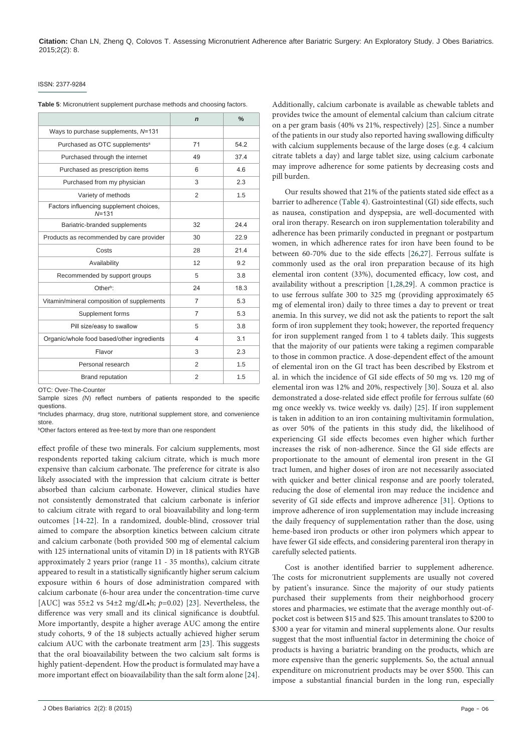#### ISSN: 2377-9284

<span id="page-5-0"></span>

|                                                       | $\mathbf n$    | $\frac{0}{0}$ |
|-------------------------------------------------------|----------------|---------------|
| Ways to purchase supplements, N=131                   |                |               |
| Purchased as OTC supplements <sup>a</sup>             | 71             | 54.2          |
| Purchased through the internet                        | 49             | 37.4          |
| Purchased as prescription items                       | 6              | 4.6           |
| Purchased from my physician                           | 3              | 2.3           |
| Variety of methods                                    | 2              | 1.5           |
| Factors influencing supplement choices,<br>$N = 1.31$ |                |               |
| Bariatric-branded supplements                         | 32             | 24.4          |
| Products as recommended by care provider              | 30             | 22.9          |
| Costs                                                 | 28             | 21.4          |
| Availability                                          | 12             | 9.2           |
| Recommended by support groups                         | 5              | 3.8           |
| Other <sup>b</sup>                                    | 24             | 18.3          |
| Vitamin/mineral composition of supplements            | $\overline{7}$ | 5.3           |
| Supplement forms                                      | $\overline{7}$ | 5.3           |
| Pill size/easy to swallow                             | 5              | 3.8           |
| Organic/whole food based/other ingredients            | 4              | 3.1           |
| Flavor                                                | 3              | 2.3           |
| Personal research                                     | $\overline{2}$ | 1.5           |
| <b>Brand reputation</b>                               | $\overline{2}$ | 1.5           |

OTC: Over-The-Counter

Sample sizes *(N*) reflect numbers of patients responded to the specific questions.

a Includes pharmacy, drug store, nutritional supplement store, and convenience

store.<br><sup>b</sup>Other factors entered as free-text by more than one respondent

effect profile of these two minerals. For calcium supplements, most respondents reported taking calcium citrate, which is much more expensive than calcium carbonate. The preference for citrate is also likely associated with the impression that calcium citrate is better absorbed than calcium carbonate. However, clinical studies have not consistently demonstrated that calcium carbonate is inferior to calcium citrate with regard to oral bioavailability and long-term outcomes [[14](#page-6-9)-[22](#page-7-0)]. In a randomized, double-blind, crossover trial aimed to compare the absorption kinetics between calcium citrate and calcium carbonate (both provided 500 mg of elemental calcium with 125 international units of vitamin D) in 18 patients with RYGB approximately 2 years prior (range 11 - 35 months), calcium citrate appeared to result in a statistically significantly higher serum calcium exposure within 6 hours of dose administration compared with calcium carbonate (6-hour area under the concentration-time curve [AUC] was 55±2 vs 54±2 mg/dL•h; *p*=0.02) [\[23\]](#page-7-1). Nevertheless, the difference was very small and its clinical significance is doubtful. More importantly, despite a higher average AUC among the entire study cohorts, 9 of the 18 subjects actually achieved higher serum calcium AUC with the carbonate treatment arm [\[23\]](#page-7-1). This suggests that the oral bioavailability between the two calcium salt forms is highly patient-dependent. How the product is formulated may have a more important effect on bioavailability than the salt form alone [[24](#page-7-2)].

Additionally, calcium carbonate is available as chewable tablets and provides twice the amount of elemental calcium than calcium citrate on a per gram basis (40% vs 21%, respectively) [[25\]](#page-7-3). Since a number of the patients in our study also reported having swallowing difficulty with calcium supplements because of the large doses (e.g. 4 calcium citrate tablets a day) and large tablet size, using calcium carbonate may improve adherence for some patients by decreasing costs and pill burden.

Our results showed that 21% of the patients stated side effect as a barrier to adherence ([Table 4\)](#page-4-2). Gastrointestinal (GI) side effects, such as nausea, constipation and dyspepsia, are well-documented with oral iron therapy. Research on iron supplementation tolerability and adherence has been primarily conducted in pregnant or postpartum women, in which adherence rates for iron have been found to be between 60-70% due to the side effects [[26,](#page-7-4)[27](#page-7-5)]. Ferrous sulfate is commonly used as the oral iron preparation because of its high elemental iron content (33%), documented efficacy, low cost, and availability without a prescription [\[1](#page-6-0)[,28](#page-7-6)[,29\]](#page-7-7). A common practice is to use ferrous sulfate 300 to 325 mg (providing approximately 65 mg of elemental iron) daily to three times a day to prevent or treat anemia. In this survey, we did not ask the patients to report the salt form of iron supplement they took; however, the reported frequency for iron supplement ranged from 1 to 4 tablets daily. This suggests that the majority of our patients were taking a regimen comparable to those in common practice. A dose-dependent effect of the amount of elemental iron on the GI tract has been described by Ekstrom et al. in which the incidence of GI side effects of 50 mg vs. 120 mg of elemental iron was 12% and 20%, respectively [\[30](#page-7-8)]. Souza et al. also demonstrated a dose-related side effect profile for ferrous sulfate (60 mg once weekly vs. twice weekly vs. daily) [\[25\]](#page-7-3). If iron supplement is taken in addition to an iron containing multivitamin formulation, as over 50% of the patients in this study did, the likelihood of experiencing GI side effects becomes even higher which further increases the risk of non-adherence. Since the GI side effects are proportionate to the amount of elemental iron present in the GI tract lumen, and higher doses of iron are not necessarily associated with quicker and better clinical response and are poorly tolerated, reducing the dose of elemental iron may reduce the incidence and severity of GI side effects and improve adherence [[31](#page-7-9)]. Options to improve adherence of iron supplementation may include increasing the daily frequency of supplementation rather than the dose, using heme-based iron products or other iron polymers which appear to have fewer GI side effects, and considering parenteral iron therapy in carefully selected patients.

Cost is another identified barrier to supplement adherence. The costs for micronutrient supplements are usually not covered by patient's insurance. Since the majority of our study patients purchased their supplements from their neighborhood grocery stores and pharmacies, we estimate that the average monthly out-ofpocket cost is between \$15 and \$25. This amount translates to \$200 to \$300 a year for vitamin and mineral supplements alone. Our results suggest that the most influential factor in determining the choice of products is having a bariatric branding on the products, which are more expensive than the generic supplements. So, the actual annual expenditure on micronutrient products may be over \$500. This can impose a substantial financial burden in the long run, especially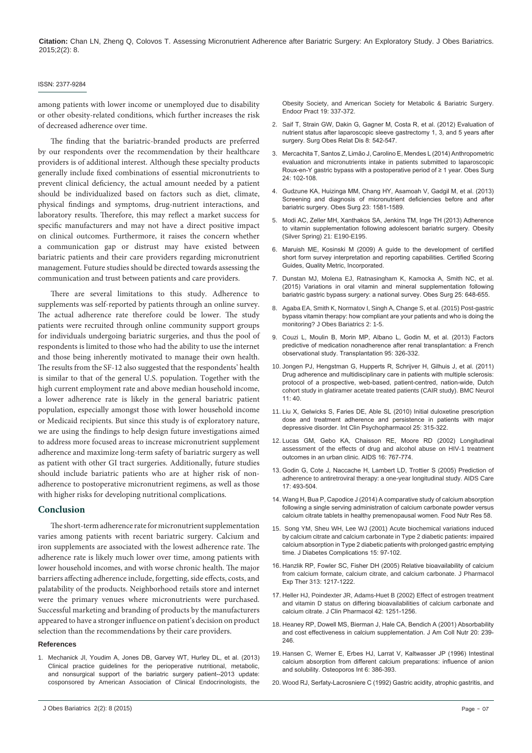#### ISSN: 2377-9284

among patients with lower income or unemployed due to disability or other obesity-related conditions, which further increases the risk of decreased adherence over time.

The finding that the bariatric-branded products are preferred by our respondents over the recommendation by their healthcare providers is of additional interest. Although these specialty products generally include fixed combinations of essential micronutrients to prevent clinical deficiency, the actual amount needed by a patient should be individualized based on factors such as diet, climate, physical findings and symptoms, drug-nutrient interactions, and laboratory results. Therefore, this may reflect a market success for specific manufacturers and may not have a direct positive impact on clinical outcomes. Furthermore, it raises the concern whether a communication gap or distrust may have existed between bariatric patients and their care providers regarding micronutrient management. Future studies should be directed towards assessing the communication and trust between patients and care providers.

There are several limitations to this study. Adherence to supplements was self-reported by patients through an online survey. The actual adherence rate therefore could be lower. The study patients were recruited through online community support groups for individuals undergoing bariatric surgeries, and thus the pool of respondents is limited to those who had the ability to use the internet and those being inherently motivated to manage their own health. The results from the SF-12 also suggested that the respondents' health is similar to that of the general U.S. population. Together with the high current employment rate and above median household income, a lower adherence rate is likely in the general bariatric patient population, especially amongst those with lower household income or Medicaid recipients. But since this study is of exploratory nature, we are using the findings to help design future investigations aimed to address more focused areas to increase micronutrient supplement adherence and maximize long-term safety of bariatric surgery as well as patient with other GI tract surgeries. Additionally, future studies should include bariatric patients who are at higher risk of nonadherence to postoperative micronutrient regimens, as well as those with higher risks for developing nutritional complications.

#### **Conclusion**

The short-term adherence rate for micronutrient supplementation varies among patients with recent bariatric surgery. Calcium and iron supplements are associated with the lowest adherence rate. The adherence rate is likely much lower over time, among patients with lower household incomes, and with worse chronic health. The major barriers affecting adherence include, forgetting, side effects, costs, and palatability of the products. Neighborhood retails store and internet were the primary venues where micronutrients were purchased. Successful marketing and branding of products by the manufacturers appeared to have a stronger influence on patient's decision on product selection than the recommendations by their care providers.

#### **References**

<span id="page-6-0"></span>1. Mech[anick JI, Youdim A, Jones DB, Garvey WT, Hurley DL, et al. \(2013\)](http://www.ncbi.nlm.nih.gov/pubmed/23529351)  [Clinical practice guidelines for the perioperative nutritional, metabolic,](http://www.ncbi.nlm.nih.gov/pubmed/23529351)  [and nonsurgical support of the bariatric surgery patient--2013 update:](http://www.ncbi.nlm.nih.gov/pubmed/23529351)  [cosponsored by American Association of Clinical Endocrinologists, the](http://www.ncbi.nlm.nih.gov/pubmed/23529351)  [Obesity Society, and American Society for Metabolic & Bariatric Surgery.](http://www.ncbi.nlm.nih.gov/pubmed/23529351)  [Endocr Pract 19: 337-372.](http://www.ncbi.nlm.nih.gov/pubmed/23529351)

- <span id="page-6-1"></span>2. [Sai](http://www.ncbi.nlm.nih.gov/pubmed/23529351)f [T, Strain GW, Dakin G, Gagner M, Costa R, et al. \(2012\) Evaluation of](http://www.ncbi.nlm.nih.gov/pubmed/22398110)  [nutrient status after laparoscopic sleeve gastrectomy 1, 3, and 5 years after](http://www.ncbi.nlm.nih.gov/pubmed/22398110)  [surgery. Surg Obes Relat Dis 8: 542-547.](http://www.ncbi.nlm.nih.gov/pubmed/22398110)
- 3. [Me](http://www.ncbi.nlm.nih.gov/pubmed/22398110)rc[achita T, Santos Z, Limão J, Carolino E, Mendes L \(2014\) Anthropometric](http://www.ncbi.nlm.nih.gov/pubmed/23955522)  [evaluation and micronutrients intake in patients submitted to laparoscopic](http://www.ncbi.nlm.nih.gov/pubmed/23955522)  [Roux-en-Y gastric bypass with a postoperative period of ≥ 1 year. Obes Surg](http://www.ncbi.nlm.nih.gov/pubmed/23955522)  [24: 102-108.](http://www.ncbi.nlm.nih.gov/pubmed/23955522)
- <span id="page-6-2"></span>4. [Gu](http://www.ncbi.nlm.nih.gov/pubmed/23955522)dzune KA, Huizinga MM, Chang HY, Asamoah V, Gadgil M, et al. (2013) Screening and diagnosis of micronutrient deficiencies before and after bariatric surgery. Obes Surg 23: 1581-1589.
- <span id="page-6-3"></span>5. Modi [AC, Zeller MH, Xanthakos SA, Jenkins TM, Inge TH \(2013\) Adherence](http://www.ncbi.nlm.nih.gov/pubmed/23404956)  [to vitamin supplementation following adolescent bariatric surgery. Obesity](http://www.ncbi.nlm.nih.gov/pubmed/23404956)  [\(Silver Spring\) 21: E190-E195.](http://www.ncbi.nlm.nih.gov/pubmed/23404956)
- <span id="page-6-4"></span>6. [Maruish ME, Kosinski M \(2009\) A guide to the development of certified](https://books.google.co.in/books/about/A_Guide_to_the_Development_of_Certified.html?id=EVBXPgAACAAJ&redir_esc=y)  [short form survey interpretation and reporting capabilities. Certified Scoring](https://books.google.co.in/books/about/A_Guide_to_the_Development_of_Certified.html?id=EVBXPgAACAAJ&redir_esc=y)  [Guides, Quality Metric, Incorporated.](https://books.google.co.in/books/about/A_Guide_to_the_Development_of_Certified.html?id=EVBXPgAACAAJ&redir_esc=y)
- <span id="page-6-5"></span>7. Duns[tan MJ, Molena EJ, Ratnasingham K, Kamocka A, Smith NC, et al.](http://www.ncbi.nlm.nih.gov/pubmed/25403775)  [\(2015\) Variations in oral vitamin and mineral supplementation following](http://www.ncbi.nlm.nih.gov/pubmed/25403775)  [bariatric gastric bypass surgery: a national survey. Obes Surg 25: 648-655.](http://www.ncbi.nlm.nih.gov/pubmed/25403775)
- <span id="page-6-6"></span>8. [Aga](http://www.ncbi.nlm.nih.gov/pubmed/25403775)[ba EA, Smith K, Normatov I, Singh A, Change S, et al. \(2015\) Post-gastric](http://www.avensonline.org/wp-content/uploads/JOAB-2377-9284-02-0012.pdf)  [bypass vitamin therapy: how compliant are your patients and who is doing the](http://www.avensonline.org/wp-content/uploads/JOAB-2377-9284-02-0012.pdf)  [monitoring? J Obes Bariatrics 2: 1-5.](http://www.avensonline.org/wp-content/uploads/JOAB-2377-9284-02-0012.pdf)
- <span id="page-6-7"></span>9. [Couz](http://www.avensonline.org/wp-content/uploads/JOAB-2377-9284-02-0012.pdf)[i L, Moulin B, Morin MP, Albano L, Godin M, et al. \(2013\) Factors](http://www.ncbi.nlm.nih.gov/pubmed/23149477)  [predictive of medication nonadherence after renal transplantation: a French](http://www.ncbi.nlm.nih.gov/pubmed/23149477)  [observational study. Transplantation 95: 326-332.](http://www.ncbi.nlm.nih.gov/pubmed/23149477)
- [10.](http://www.ncbi.nlm.nih.gov/pubmed/23149477) Jong[en PJ, Hengstman G, Hupperts R, Schrijver H, Gilhuis J, et al. \(2011\)](http://www.ncbi.nlm.nih.gov/pubmed/21450086)  [Drug adherence and multidisciplinary care in patients with multiple sclerosis:](http://www.ncbi.nlm.nih.gov/pubmed/21450086)  [protocol of a prospective, web-based, patient-centred, nation-wide, Dutch](http://www.ncbi.nlm.nih.gov/pubmed/21450086)  [cohort study in glatiramer acetate treated patients \(CAIR study\). BMC Neurol](http://www.ncbi.nlm.nih.gov/pubmed/21450086)  [11: 40.](http://www.ncbi.nlm.nih.gov/pubmed/21450086)
- [11.](http://www.ncbi.nlm.nih.gov/pubmed/21450086) Liu [X, Gelwicks S, Faries DE, Able SL \(2010\) Initial duloxetine prescription](http://www.ncbi.nlm.nih.gov/pubmed/20706125)  [dose and treatment adherence and persistence in patients with major](http://www.ncbi.nlm.nih.gov/pubmed/20706125)  [depressive disorder. Int Clin Psychopharmacol 25: 315-322.](http://www.ncbi.nlm.nih.gov/pubmed/20706125)
- [12.](http://www.ncbi.nlm.nih.gov/pubmed/20706125) Luca[s GM, Gebo KA, Chaisson RE, Moore RD \(2002\) Longitudinal](http://www.ncbi.nlm.nih.gov/pubmed/11964533)  [assessment of the effects of drug and alcohol abuse on HIV-1 treatment](http://www.ncbi.nlm.nih.gov/pubmed/11964533)  [outcomes in an urban clinic. AIDS 16: 767-774.](http://www.ncbi.nlm.nih.gov/pubmed/11964533)
- <span id="page-6-8"></span>13. [God](http://www.ncbi.nlm.nih.gov/pubmed/11964533)i[n G, Cote J, Naccache H, Lambert LD, Trottier S \(2005\) Prediction of](http://www.ncbi.nlm.nih.gov/pubmed/16036235)  [adherence to antiretroviral therapy: a one-year longitudinal study. AIDS Care](http://www.ncbi.nlm.nih.gov/pubmed/16036235)  [17: 493-504.](http://www.ncbi.nlm.nih.gov/pubmed/16036235)
- <span id="page-6-9"></span>14. [Wan](http://www.ncbi.nlm.nih.gov/pubmed/16036235)g [H, Bua P, Capodice J \(2014\) A comparative study of calcium absorption](http://www.ncbi.nlm.nih.gov/pubmed/24772062)  [following a single serving administration of calcium carbonate powder versus](http://www.ncbi.nlm.nih.gov/pubmed/24772062)  [calcium citrate tablets in healthy premenopausal women. Food Nutr Res 58.](http://www.ncbi.nlm.nih.gov/pubmed/24772062)
- [15.](http://www.ncbi.nlm.nih.gov/pubmed/24772062) Son[g YM, Sheu WH, Lee WJ \(2001\) Acute biochemical variations induced](http://www.ncbi.nlm.nih.gov/pubmed/11274906)  [by calcium citrate and calcium carbonate in Type 2 diabetic patients: impaired](http://www.ncbi.nlm.nih.gov/pubmed/11274906)  [calcium absorption in Type 2 diabetic patients with prolonged gastric emptying](http://www.ncbi.nlm.nih.gov/pubmed/11274906)  [time. J Diabetes Complications 15: 97-102.](http://www.ncbi.nlm.nih.gov/pubmed/11274906)
- [16.](http://www.ncbi.nlm.nih.gov/pubmed/11274906) Hanz[lik RP, Fowler SC, Fisher DH \(2005\) Relative bioavailability of calcium](http://www.ncbi.nlm.nih.gov/pubmed/15734899)  [from calcium formate, calcium citrate, and calcium carbonate. J Pharmacol](http://www.ncbi.nlm.nih.gov/pubmed/15734899)  [Exp Ther 313: 1217-1222.](http://www.ncbi.nlm.nih.gov/pubmed/15734899)
- [17.](http://www.ncbi.nlm.nih.gov/pubmed/15734899) Hel[ler HJ, Poindexter JR, Adams-Huet B \(2002\) Effect of estrogen treatment](http://www.ncbi.nlm.nih.gov/pubmed/12412824)  [and vitamin D status on differing bioavailabilities of calcium carbonate and](http://www.ncbi.nlm.nih.gov/pubmed/12412824)  [calcium citrate. J Clin Pharmacol 42: 1251-1256.](http://www.ncbi.nlm.nih.gov/pubmed/12412824)
- [18.](http://www.ncbi.nlm.nih.gov/pubmed/12412824) Hean[ey RP, Dowell MS, Bierman J, Hale CA, Bendich A \(2001\) Absorbability](http://www.ncbi.nlm.nih.gov/pubmed/11444420)  [and cost effectiveness in calcium supplementation. J Am Coll Nutr 20: 239-](http://www.ncbi.nlm.nih.gov/pubmed/11444420) [246.](http://www.ncbi.nlm.nih.gov/pubmed/11444420)
- [19.](http://www.ncbi.nlm.nih.gov/pubmed/11444420) Hans[en C, Werner E, Erbes HJ, Larrat V, Kaltwasser JP \(1996\) Intestinal](http://www.ncbi.nlm.nih.gov/pubmed/8931033)  [calcium absorption from different calcium preparations: influence of anion](http://www.ncbi.nlm.nih.gov/pubmed/8931033)  [and solubility. Osteoporos Int 6: 386-393.](http://www.ncbi.nlm.nih.gov/pubmed/8931033)
- 20. [Woo](http://www.ncbi.nlm.nih.gov/pubmed/8931033)d [RJ, Serfaty-Lacrosniere C \(1992\) Gastric acidity, atrophic gastritis, and](http://www.ncbi.nlm.nih.gov/pubmed/1570081)